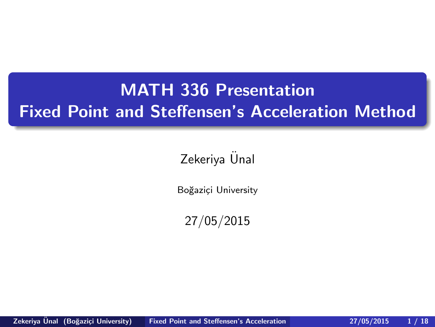# <span id="page-0-0"></span>MATH 336 Presentation Fixed Point and Steffensen's Acceleration Method

## Zekeriya Ünal

Boğaziçi University

27/05/2015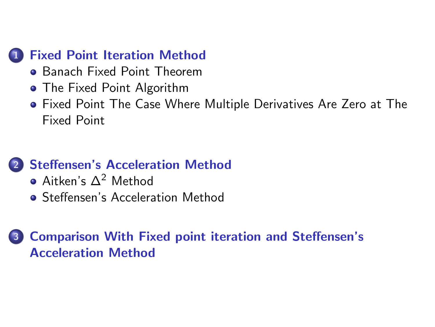## **[Fixed Point Iteration Method](#page-2-0)**

- **[Banach Fixed Point Theorem](#page-9-0)**
- [The Fixed Point Algorithm](#page-17-0)
- [Fixed Point The Case Where Multiple Derivatives Are Zero at The](#page-18-0) [Fixed Point](#page-18-0)

## 2 [Steffensen's Acceleration Method](#page-29-0)

- [Aitken's ∆](#page-29-0)<sup>2</sup> Method
- **[Steffensen's Acceleration Method](#page-41-0)**

3 [Comparison With Fixed point iteration and Steffensen's](#page-45-0) [Acceleration Method](#page-45-0)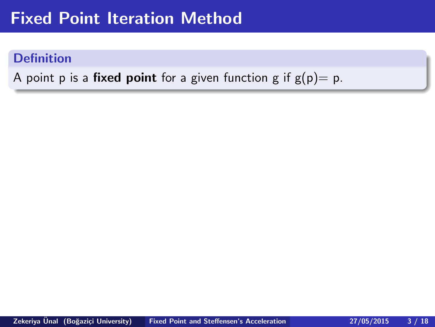## <span id="page-2-0"></span>Fixed Point Iteration Method

#### **Definition**

A point p is a **fixed point** for a given function g if  $g(p) = p$ .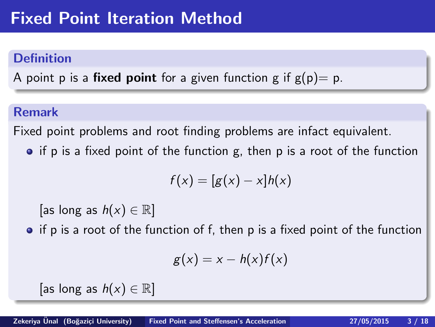### **Definition**

A point p is a **fixed point** for a given function g if  $g(p) = p$ .

### Remark

Fixed point problems and root finding problems are infact equivalent.

 $\bullet$  if p is a fixed point of the function g, then p is a root of the function

$$
f(x) = [g(x) - x]h(x)
$$

[as long as  $h(x) \in \mathbb{R}$ ]

• if p is a root of the function of f, then p is a fixed point of the function

$$
g(x) = x - h(x)f(x)
$$

[as long as  $h(x) \in \mathbb{R}$ ]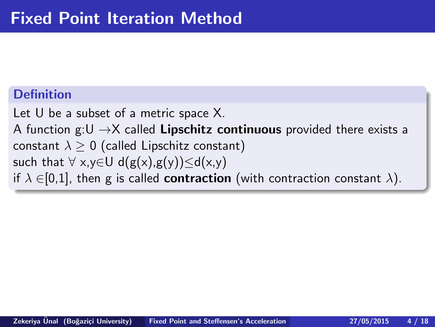### **Definition**

Let U be a subset of a metric space X. A function  $g:U \rightarrow X$  called **Lipschitz continuous** provided there exists a constant  $\lambda > 0$  (called Lipschitz constant) such that  $\forall x,y \in U$  d( $g(x),g(y)$ ) $\leq d(x,y)$ if  $\lambda \in [0,1]$ , then g is called **contraction** (with contraction constant  $\lambda$ ).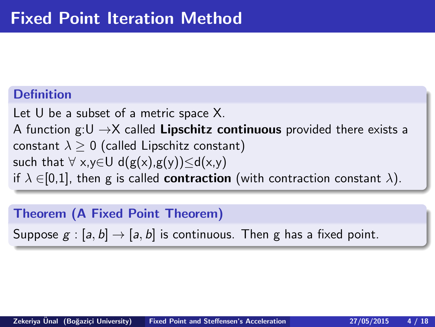## **Definition**

Let U be a subset of a metric space X. A function  $g:U \rightarrow X$  called Lipschitz continuous provided there exists a constant  $\lambda > 0$  (called Lipschitz constant) such that  $\forall x,y \in U$  d( $g(x),g(y)$ ) $\leq d(x,y)$ if  $\lambda \in [0,1]$ , then g is called **contraction** (with contraction constant  $\lambda$ ).

## Theorem (A Fixed Point Theorem)

Suppose  $g : [a, b] \rightarrow [a, b]$  is continuous. Then g has a fixed point.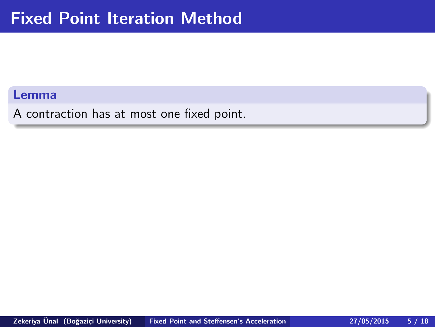#### Lemma

A contraction has at most one fixed point.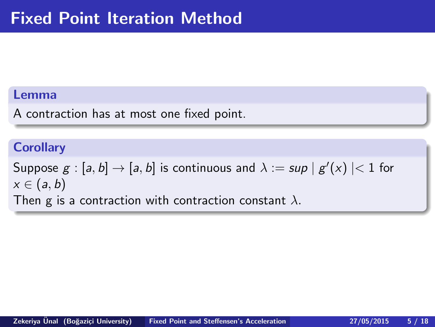#### Lemma

A contraction has at most one fixed point.

#### **Corollary**

Suppose  $g:[a,b]\rightarrow [a,b]$  is continuous and  $\lambda:=\sup\mid g'(x)\mid< 1$  for  $x \in (a, b)$ Then g is a contraction with contraction constant  $\lambda$ .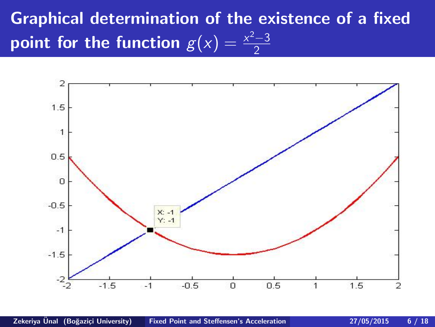Graphical determination of the existence of a fixed point for the function  $g(x) = \frac{x^2-3}{2}$ 2

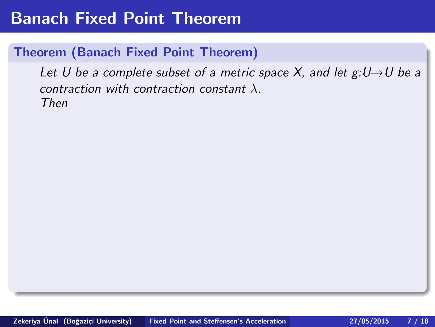### <span id="page-9-0"></span>Theorem (Banach Fixed Point Theorem)

Let U be a complete subset of a metric space X, and let  $g:U\rightarrow U$  be a contraction with contraction constant  $\lambda$ . Then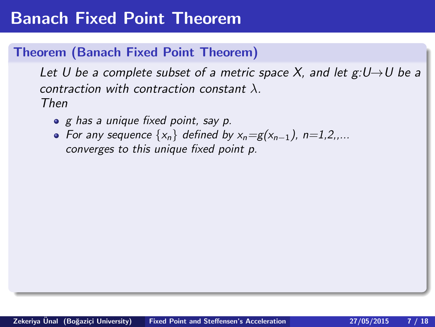### Theorem (Banach Fixed Point Theorem)

Let U be a complete subset of a metric space X, and let  $g:U\rightarrow U$  be a contraction with contraction constant  $\lambda$ . Then

- g has a unique fixed point, say p.
- For any sequence  $\{x_n\}$  defined by  $x_n = g(x_{n-1})$ , n=1,2,... converges to this unique fixed point p.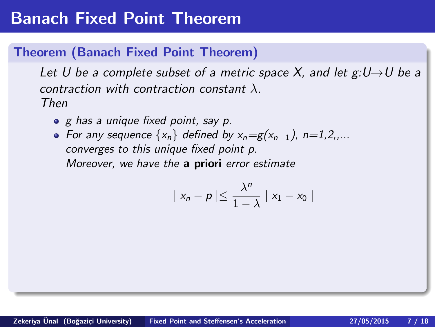### Theorem (Banach Fixed Point Theorem)

Let U be a complete subset of a metric space X, and let  $g:U\rightarrow U$  be a contraction with contraction constant  $\lambda$ . Then

- g has a unique fixed point, say p.
- For any sequence  $\{x_n\}$  defined by  $x_n = g(x_{n-1})$ , n=1,2,... converges to this unique fixed point p. Moreover, we have the a priori error estimate

$$
|x_n - p| \leq \frac{\lambda^n}{1 - \lambda} |x_1 - x_0|
$$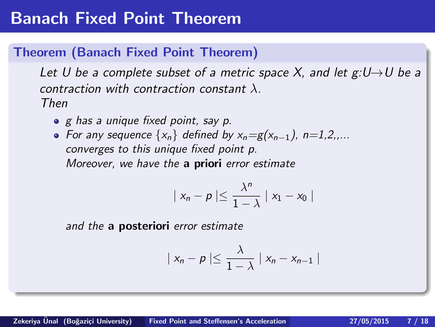#### Theorem (Banach Fixed Point Theorem)

Let U be a complete subset of a metric space X, and let  $g:U\rightarrow U$  be a contraction with contraction constant  $\lambda$ . Then

- g has a unique fixed point, say p.
- For any sequence  $\{x_n\}$  defined by  $x_n = g(x_{n-1})$ , n=1,2,... converges to this unique fixed point p. Moreover, we have the a priori error estimate

$$
|x_n - p| \leq \frac{\lambda^n}{1 - \lambda} |x_1 - x_0|
$$

and the a posteriori error estimate

$$
|x_n-p| \leq \frac{\lambda}{1-\lambda} |x_n-x_{n-1}|
$$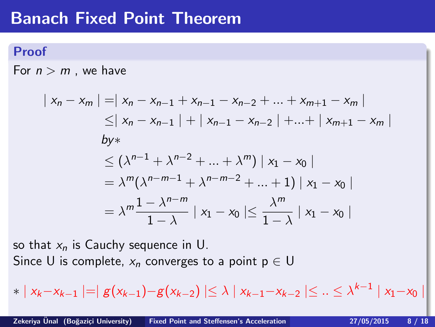#### Proof

For  $n > m$ , we have

$$
\begin{aligned} \mid x_n - x_m \mid &= \mid x_n - x_{n-1} + x_{n-1} - x_{n-2} + \dots + x_{m+1} - x_m \mid \\ &\leq \mid x_n - x_{n-1} \mid + \mid x_{n-1} - x_{n-2} \mid + \dots + \mid x_{m+1} - x_m \mid \\ & \text{by*} \\ &\leq (\lambda^{n-1} + \lambda^{n-2} + \dots + \lambda^m) \mid x_1 - x_0 \mid \\ &= \lambda^m (\lambda^{n-m-1} + \lambda^{n-m-2} + \dots + 1) \mid x_1 - x_0 \mid \\ &= \lambda^m \frac{1 - \lambda^{n-m}}{1 - \lambda} \mid x_1 - x_0 \mid \leq \frac{\lambda^m}{1 - \lambda} \mid x_1 - x_0 \mid \end{aligned}
$$

so that  $x_n$  is Cauchy sequence in U. Since U is complete,  $x_n$  converges to a point  $p \in U$ 

$$
* | x_{k} - x_{k-1} | = | g(x_{k-1}) - g(x_{k-2}) | \leq \lambda | x_{k-1} - x_{k-2} | \leq .. \leq \lambda^{k-1} | x_{1} - x_{0} |
$$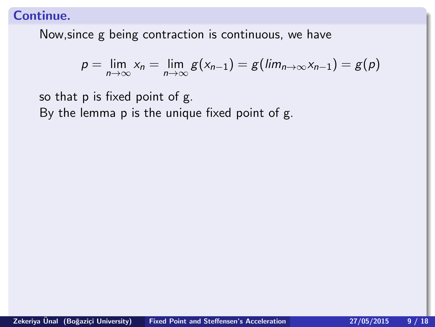Now,since g being contraction is continuous, we have

$$
p = \lim_{n \to \infty} x_n = \lim_{n \to \infty} g(x_{n-1}) = g(\lim_{n \to \infty} x_{n-1}) = g(p)
$$

so that p is fixed point of g. By the lemma p is the unique fixed point of g.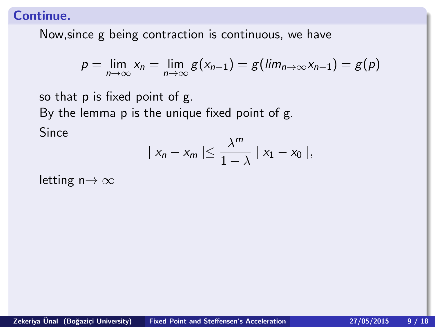Now,since g being contraction is continuous, we have

$$
p = \lim_{n \to \infty} x_n = \lim_{n \to \infty} g(x_{n-1}) = g(\lim_{n \to \infty} x_{n-1}) = g(p)
$$

so that p is fixed point of g. By the lemma p is the unique fixed point of g. Since

$$
|x_n - x_m| \leq \frac{\lambda^m}{1 - \lambda} |x_1 - x_0|,
$$

letting  $n \rightarrow \infty$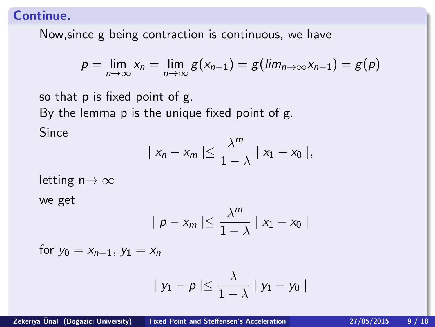Now,since g being contraction is continuous, we have

$$
p = \lim_{n \to \infty} x_n = \lim_{n \to \infty} g(x_{n-1}) = g(\lim_{n \to \infty} x_{n-1}) = g(p)
$$

so that p is fixed point of g. By the lemma p is the unique fixed point of g. Since

$$
|x_n - x_m| \leq \frac{\lambda^m}{1 - \lambda} |x_1 - x_0|,
$$

letting  $n \rightarrow \infty$ 

we get

$$
|p-x_m|\leq \frac{\lambda^m}{1-\lambda} |x_1-x_0|
$$

for  $y_0 = x_{n-1}$ ,  $y_1 = x_n$ 

$$
|y_1-p|\leq \frac{\lambda}{1-\lambda} |y_1-y_0|
$$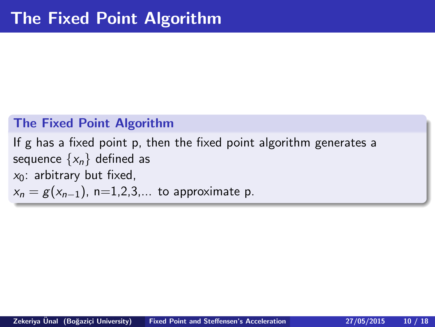#### <span id="page-17-0"></span>The Fixed Point Algorithm

If g has a fixed point p, then the fixed point algorithm generates a sequence  $\{x_n\}$  defined as  $x_0$ : arbitrary but fixed,  $x_n = g(x_{n-1})$ , n=1,2,3,... to approximate p.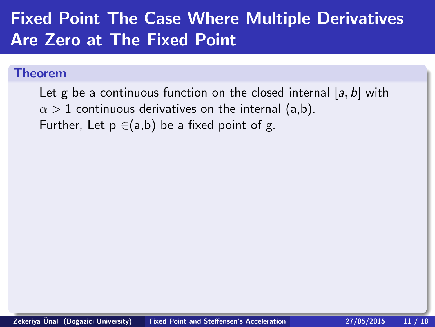# <span id="page-18-0"></span>Fixed Point The Case Where Multiple Derivatives Are Zero at The Fixed Point

#### Theorem

Let g be a continuous function on the closed internal  $[a, b]$  with  $\alpha > 1$  continuous derivatives on the internal (a,b). Further, Let  $p \in (a,b)$  be a fixed point of g.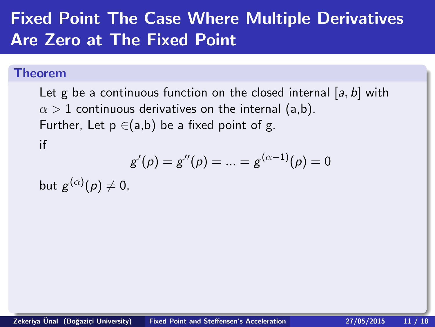# Fixed Point The Case Where Multiple Derivatives Are Zero at The Fixed Point

#### Theorem

Let g be a continuous function on the closed internal  $[a, b]$  with  $\alpha > 1$  continuous derivatives on the internal (a,b). Further, Let  $p \in (a,b)$  be a fixed point of g. if

$$
g'(\rho) = g''(\rho) = ... = g^{(\alpha - 1)}(\rho) = 0
$$

but  $g^{(\alpha)}(\rho)\neq 0,$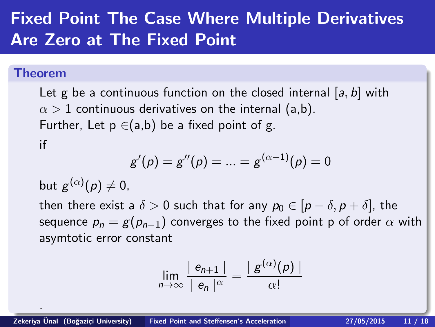# Fixed Point The Case Where Multiple Derivatives Are Zero at The Fixed Point

#### Theorem

.

Let g be a continuous function on the closed internal  $[a, b]$  with  $\alpha > 1$  continuous derivatives on the internal (a,b). Further, Let  $p \in (a,b)$  be a fixed point of g. if

$$
g'(\rho) = g''(\rho) = ... = g^{(\alpha - 1)}(\rho) = 0
$$

but  $g^{(\alpha)}(\rho)\neq 0,$ 

then there exist a  $\delta > 0$  such that for any  $p_0 \in [p - \delta, p + \delta]$ , the sequence  $p_n = g(p_{n-1})$  converges to the fixed point p of order  $\alpha$  with asymtotic error constant

$$
\lim_{n\to\infty}\frac{|e_{n+1}|}{|e_n|^{\alpha}}=\frac{|g^{(\alpha)}(p)|}{\alpha!}
$$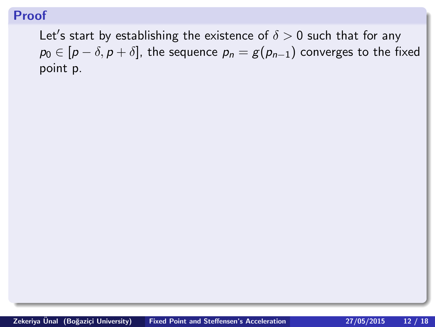Let's start by establishing the existence of  $\delta > 0$  such that for any  $p_0 \in [p - \delta, p + \delta]$ , the sequence  $p_n = g(p_{n-1})$  converges to the fixed point p.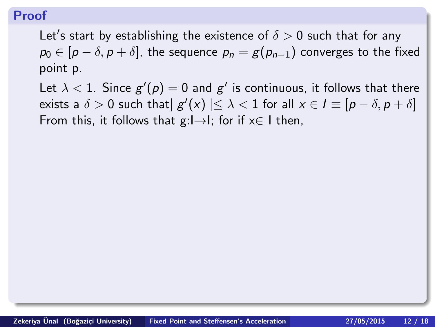Let's start by establishing the existence of  $\delta > 0$  such that for any  $p_0 \in [p - \delta, p + \delta]$ , the sequence  $p_n = g(p_{n-1})$  converges to the fixed point p.

Let  $\lambda < 1$ . Since  $g' (p) = 0$  and  $g'$  is continuous, it follows that there exists a  $\delta > 0$  such that $\mid g'(x) \mid \leq \lambda < 1$  for all  $x \in I \equiv [p - \delta, p + \delta]$ From this, it follows that  $g: I \rightarrow I$ ; for if  $x \in I$  then,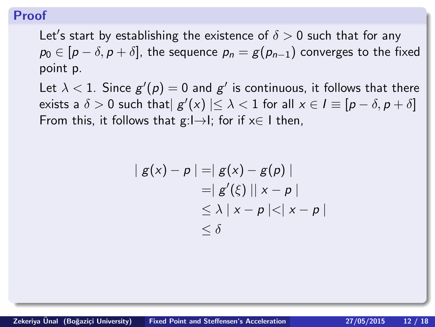Let's start by establishing the existence of  $\delta > 0$  such that for any  $p_0 \in [p - \delta, p + \delta]$ , the sequence  $p_n = g(p_{n-1})$  converges to the fixed point p.

Let  $\lambda < 1$ . Since  $g' (p) = 0$  and  $g'$  is continuous, it follows that there exists a  $\delta > 0$  such that $\mid g'(x) \mid \leq \lambda < 1$  for all  $x \in I \equiv [p - \delta, p + \delta]$ From this, it follows that  $g: I \rightarrow I$ ; for if  $x \in I$  then,

$$
| g(x) - p | = | g(x) - g(p) |
$$
  
\n
$$
= | g'(\xi) || x - p |
$$
  
\n
$$
\leq \lambda | x - p | < | x - p |
$$
  
\n
$$
\leq \delta
$$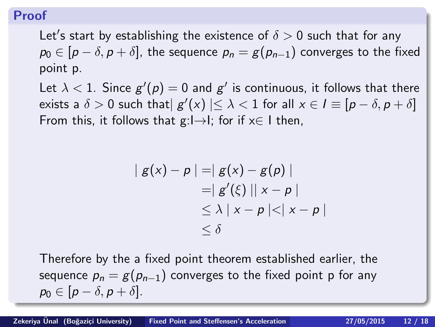Let's start by establishing the existence of  $\delta > 0$  such that for any  $p_0 \in [p - \delta, p + \delta]$ , the sequence  $p_n = g(p_{n-1})$  converges to the fixed point p.

Let  $\lambda < 1$ . Since  $g' (p) = 0$  and  $g'$  is continuous, it follows that there exists a  $\delta > 0$  such that $\mid g'(x) \mid \leq \lambda < 1$  for all  $x \in I \equiv [p - \delta, p + \delta]$ From this, it follows that  $g: I \rightarrow I$ ; for if  $x \in I$  then,

$$
| g(x) - p | = | g(x) - g(p) |
$$
  
\n
$$
= | g'(\xi) || x - p |
$$
  
\n
$$
\leq \lambda | x - p | < | x - p |
$$
  
\n
$$
\leq \delta
$$

Therefore by the a fixed point theorem established earlier, the sequence  $p_n = g(p_{n-1})$  converges to the fixed point p for any  $p_0 \in [p-\delta, p+\delta].$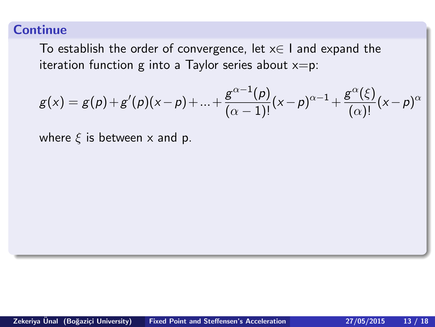To establish the order of convergence, let  $x \in I$  and expand the iteration function g into a Taylor series about  $x=$ p:

$$
g(x) = g(p) + g'(p)(x-p) + ... + \frac{g^{\alpha-1}(p)}{(\alpha-1)!}(x-p)^{\alpha-1} + \frac{g^{\alpha}(\xi)}{(\alpha)!}(x-p)^{\alpha}
$$

where  $\xi$  is between x and p.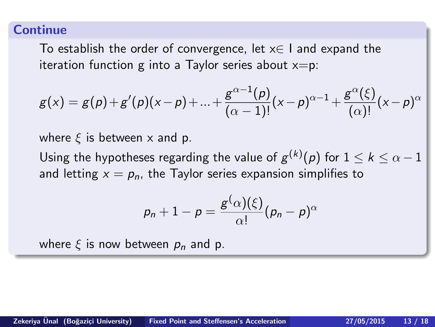To establish the order of convergence, let  $x \in I$  and expand the iteration function g into a Taylor series about  $x=$ p:

$$
g(x) = g(p) + g'(p)(x-p) + ... + \frac{g^{\alpha-1}(p)}{(\alpha-1)!}(x-p)^{\alpha-1} + \frac{g^{\alpha}(\xi)}{(\alpha)!}(x-p)^{\alpha}
$$

where  $\xi$  is between x and p.

Using the hypotheses regarding the value of  $g^{(k)}(\rho)$  for  $1\leq k\leq \alpha-1$ and letting  $x = p_n$ , the Taylor series expansion simplifies to

$$
p_n+1-p=\frac{g^{\left(\alpha\right)}(\xi)}{\alpha!}(p_n-p)^{\alpha}
$$

where  $\xi$  is now between  $p_n$  and p.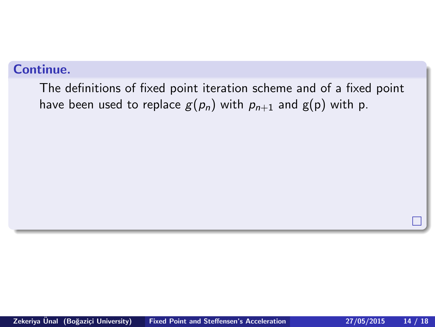The definitions of fixed point iteration scheme and of a fixed point have been used to replace  $g(p_n)$  with  $p_{n+1}$  and  $g(p)$  with p.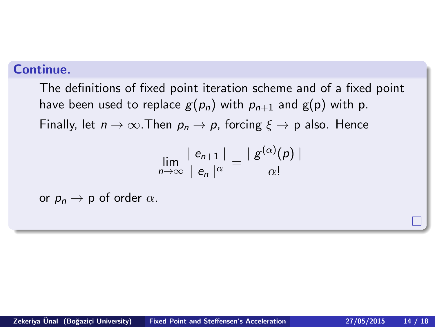The definitions of fixed point iteration scheme and of a fixed point have been used to replace  $g(p_n)$  with  $p_{n+1}$  and  $g(p)$  with p. Finally, let  $n \to \infty$ . Then  $p_n \to p$ , forcing  $\xi \to p$  also. Hence

$$
\lim_{n\to\infty}\frac{|e_{n+1}|}{|e_n|^{\alpha}}=\frac{|g^{(\alpha)}(p)|}{\alpha!}
$$

or  $p_n \rightarrow p$  of order  $\alpha$ .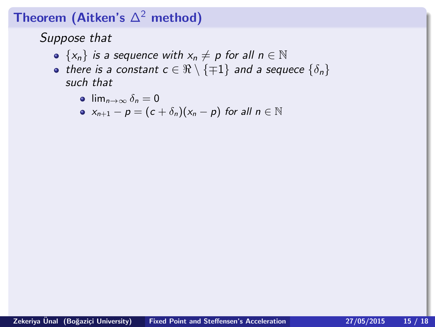## <span id="page-29-0"></span>Theorem (Aitken's  $\Delta^2$  method)

Suppose that

- $\{x_n\}$  is a sequence with  $x_n \neq p$  for all  $n \in \mathbb{N}$
- there is a constant  $c \in \Re \setminus {\pm 1}$  and a sequece  $\{\delta_n\}$ such that

$$
\bullet \ \lim_{n\to\infty} \delta_n = 0
$$

• 
$$
x_{n+1} - p = (c + \delta_n)(x_n - p)
$$
 for all  $n \in \mathbb{N}$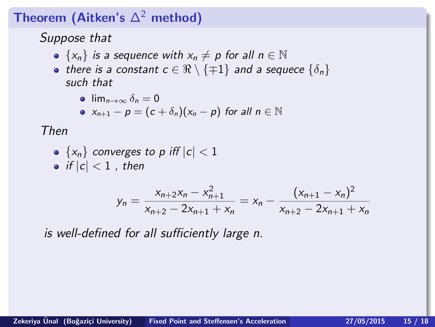## Theorem (Aitken's  $\Delta^2$  method)

## Suppose that

- $\{x_n\}$  is a sequence with  $x_n \neq p$  for all  $n \in \mathbb{N}$
- there is a constant  $c \in \Re \setminus {\pm 1}$  and a sequece  $\{\delta_n\}$ such that

$$
\bullet \ \lim_{n\to\infty} \delta_n = 0
$$

$$
x_{n+1}-p=(c+\delta_n)(x_n-p) \text{ for all } n\in\mathbb{N}
$$

Then

\n- $$
\{x_n\}
$$
 converges to  $p$  iff  $|c| < 1$
\n- if  $|c| < 1$ , then
\n

$$
y_n = \frac{x_{n+2}x_n - x_{n+1}^2}{x_{n+2} - 2x_{n+1} + x_n} = x_n - \frac{(x_{n+1} - x_n)^2}{x_{n+2} - 2x_{n+1} + x_n}
$$

is well-defined for all sufficiently large n.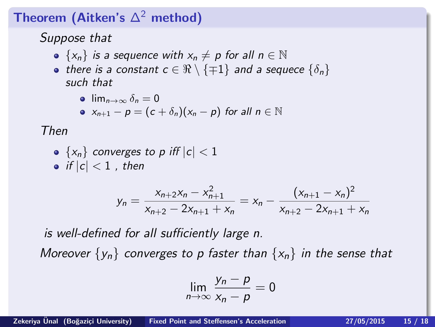## Theorem (Aitken's  $\Delta^2$  method)

## Suppose that

- $\{x_n\}$  is a sequence with  $x_n \neq p$  for all  $n \in \mathbb{N}$
- there is a constant  $c \in \Re \setminus {\pm 1}$  and a sequece  $\{\delta_n\}$ such that

$$
\bullet \ \lim_{n\to\infty} \delta_n = 0
$$

$$
\bullet \ \ x_{n+1} - p = (c + \delta_n)(x_n - p) \ \text{for all} \ n \in \mathbb{N}
$$

Then

\n- • 
$$
\{x_n\}
$$
 converges to  $p$  iff  $|c| < 1$
\n- • if  $|c| < 1$ , then
\n

$$
y_n = \frac{x_{n+2}x_n - x_{n+1}^2}{x_{n+2} - 2x_{n+1} + x_n} = x_n - \frac{(x_{n+1} - x_n)^2}{x_{n+2} - 2x_{n+1} + x_n}
$$

is well-defined for all sufficiently large n. Moreover  $\{y_n\}$  converges to p faster than  $\{x_n\}$  in the sense that

$$
\lim_{n\to\infty}\frac{y_n-p}{x_n-p}=0
$$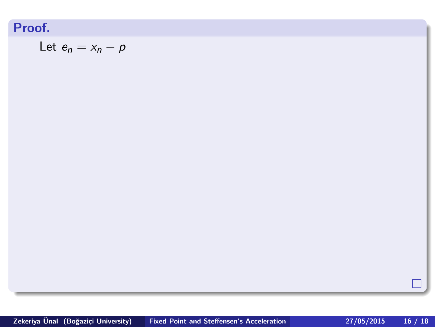Let 
$$
e_n = x_n - p
$$

П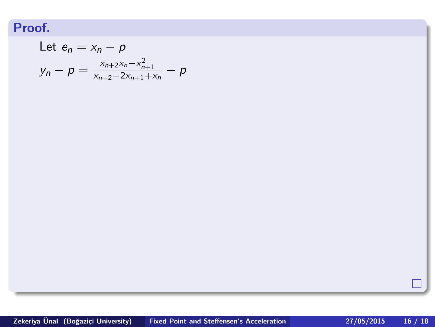Let 
$$
e_n = x_n - p
$$
  
\n
$$
y_n - p = \frac{x_{n+2}x_n - x_{n+1}^2}{x_{n+2} - 2x_{n+1} + x_n} - p
$$

П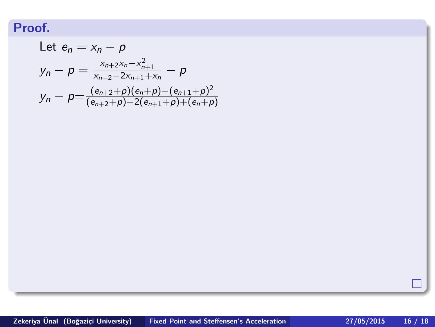Let 
$$
e_n = x_n - p
$$
  
\n
$$
y_n - p = \frac{x_{n+2}x_n - x_{n+1}^2}{x_{n+2} - 2x_{n+1} + x_n} - p
$$
\n
$$
y_n - p = \frac{(e_{n+2} + p)(e_n + p) - (e_{n+1} + p)^2}{(e_{n+2} + p) - 2(e_{n+1} + p) + (e_n + p)}
$$

П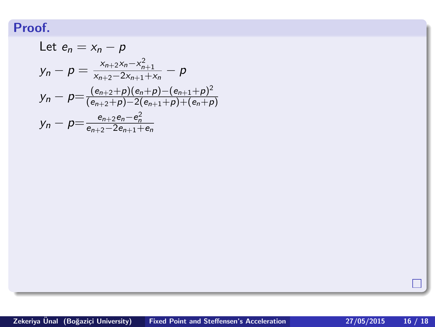Let 
$$
e_n = x_n - p
$$
  
\n
$$
y_n - p = \frac{x_{n+2}x_n - x_{n+1}^2}{x_{n+2} - 2x_{n+1} + x_n} - p
$$
\n
$$
y_n - p = \frac{(e_{n+2} + p)(e_n + p) - (e_{n+1} + p)^2}{(e_{n+2} + p) - 2(e_{n+1} + p) + (e_n + p)}
$$
\n
$$
y_n - p = \frac{e_{n+2}e_n - e_n^2}{e_{n+2} - 2e_{n+1} + e_n}
$$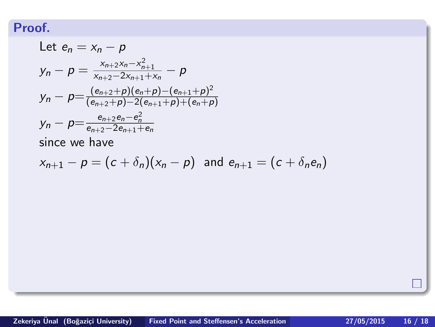Let 
$$
e_n = x_n - p
$$
  
\n
$$
y_n - p = \frac{x_{n+2}x_n - x_{n+1}^2}{x_{n+2} - 2x_{n+1} + x_n} - p
$$
\n
$$
y_n - p = \frac{(e_{n+2} + p)(e_n + p) - (e_{n+1} + p)^2}{(e_{n+2} + p) - 2(e_{n+1} + p) + (e_n + p)}
$$
\n
$$
y_n - p = \frac{e_{n+2}e_n - e_n^2}{e_{n+2} - 2e_{n+1} + e_n}
$$
\nsince we have

$$
x_{n+1}-p=(c+\delta_n)(x_n-p) \text{ and } e_{n+1}=(c+\delta_ne_n)
$$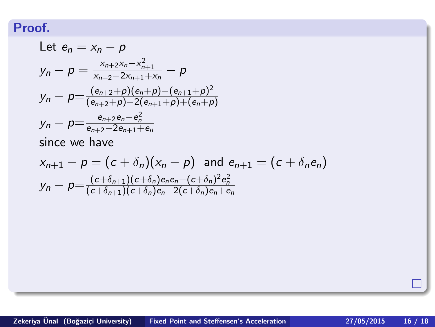Let 
$$
e_n = x_n - p
$$
  
\n
$$
y_n - p = \frac{x_{n+2}x_n - x_{n+1}^2}{x_{n+2} - 2x_{n+1} + x_n} - p
$$
\n
$$
y_n - p = \frac{(e_{n+2} + p)(e_n + p) - (e_{n+1} + p)^2}{(e_{n+2} + p) - 2(e_{n+1} + p) + (e_n + p)}
$$
\n
$$
y_n - p = \frac{e_{n+2}e_n - e_n^2}{e_{n+2} - 2e_{n+1} + e_n}
$$
\nsince we have

$$
x_{n+1} - p = (c + \delta_n)(x_n - p) \text{ and } e_{n+1} = (c + \delta_n e_n)
$$
  

$$
y_n - p = \frac{(c + \delta_{n+1})(c + \delta_n)e_ne_n - (c + \delta_n)^2 e_n^2}{(c + \delta_{n+1})(c + \delta_n)e_n - 2(c + \delta_n)e_n + e_n}
$$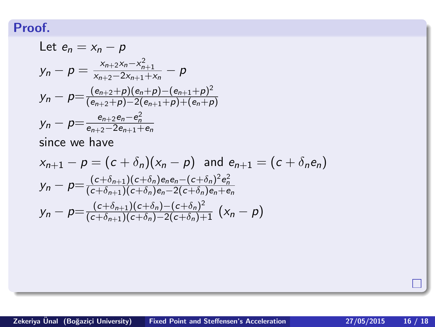Let 
$$
e_n = x_n - p
$$
  
\n
$$
y_n - p = \frac{x_{n+2}x_n - x_{n+1}^2}{x_{n+2} - 2x_{n+1} + x_n} - p
$$
\n
$$
y_n - p = \frac{(e_{n+2} + p)(e_n + p) - (e_{n+1} + p)^2}{(e_{n+2} + p) - 2(e_{n+1} + p) + (e_n + p)}
$$
\n
$$
y_n - p = \frac{e_{n+2}e_n - e_n^2}{e_{n+2} - 2e_{n+1} + e_n}
$$
\nsince we have

$$
x_{n+1} - p = (c + \delta_n)(x_n - p) \text{ and } e_{n+1} = (c + \delta_n e_n)
$$
  
\n
$$
y_n - p = \frac{(c + \delta_{n+1})(c + \delta_n)e_n e_n - (c + \delta_n)^2 e_n^2}{(c + \delta_{n+1})(c + \delta_n)e_n - 2(c + \delta_n)e_n + e_n}
$$
  
\n
$$
y_n - p = \frac{(c + \delta_{n+1})(c + \delta_n) - (c + \delta_n)^2}{(c + \delta_{n+1})(c + \delta_n) - 2(c + \delta_n) + 1} (x_n - p)
$$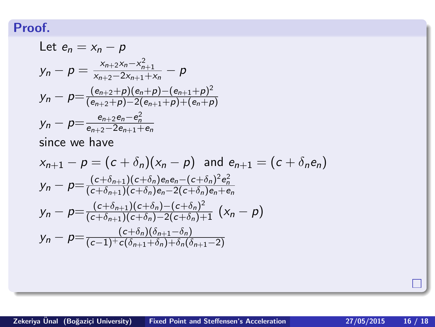Let 
$$
e_n = x_n - p
$$
  
\n
$$
y_n - p = \frac{x_{n+2}x_n - x_{n+1}^2}{x_{n+2} - 2x_{n+1} + x_n} - p
$$
\n
$$
y_n - p = \frac{(e_{n+2} + p)(e_n + p) - (e_{n+1} + p)^2}{(e_{n+2} + p) - 2(e_{n+1} + p) + (e_n + p)}
$$
\n
$$
y_n - p = \frac{e_{n+2}e_n - e_n^2}{e_{n+2} - 2e_{n+1} + e_n}
$$
\nsince we have

$$
x_{n+1} - p = (c + \delta_n)(x_n - p) \text{ and } e_{n+1} = (c + \delta_n e_n)
$$
  
\n
$$
y_n - p = \frac{(c + \delta_{n+1})(c + \delta_n)e_n e_n - (c + \delta_n)^2 e_n^2}{(c + \delta_{n+1})(c + \delta_n)e_n - 2(c + \delta_n)e_n + e_n}
$$
  
\n
$$
y_n - p = \frac{(c + \delta_{n+1})(c + \delta_n) - (c + \delta_n)^2}{(c + \delta_{n+1})(c + \delta_n) - 2(c + \delta_n) + 1} (x_n - p)
$$
  
\n
$$
y_n - p = \frac{(c + \delta_n)(\delta_{n+1} - \delta_n)}{(c - 1)^+(\delta_n)(\delta_{n+1} - \delta_n) + \delta_n(\delta_{n+1} - 2)}
$$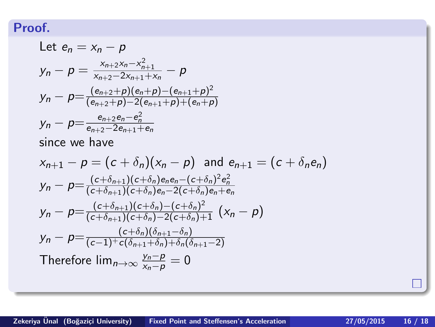Let 
$$
e_n = x_n - p
$$
  
\n
$$
y_n - p = \frac{x_{n+2}x_n - x_{n+1}^2}{x_{n+2} - 2x_{n+1} + x_n} - p
$$
\n
$$
y_n - p = \frac{(e_{n+2} + p)(e_n + p) - (e_{n+1} + p)^2}{(e_{n+2} + p) - 2(e_{n+1} + p) + (e_n + p)}
$$
\n
$$
y_n - p = \frac{e_{n+2}e_n - e_n^2}{e_{n+2} - 2e_{n+1} + e_n}
$$
\nsince we have

$$
x_{n+1} - p = (c + \delta_n)(x_n - p) \text{ and } e_{n+1} = (c + \delta_n e_n)
$$
  
\n
$$
y_n - p = \frac{(c + \delta_{n+1})(c + \delta_n)e_n e_n - (c + \delta_n)^2 e_n^2}{(c + \delta_{n+1})(c + \delta_n)e_n - 2(c + \delta_n)e_n + e_n}
$$
  
\n
$$
y_n - p = \frac{(c + \delta_{n+1})(c + \delta_n) - (c + \delta_n)^2}{(c + \delta_{n+1})(c + \delta_n) - 2(c + \delta_n) + 1} (x_n - p)
$$
  
\n
$$
y_n - p = \frac{(c + \delta_n)(\delta_{n+1} - \delta_n)}{(c - 1)^+ c(\delta_{n+1} + \delta_n) + \delta_n(\delta_{n+1} - 2)}
$$
  
\nTherefore  $\lim_{n \to \infty} \frac{y_n - p}{x_n - p} = 0$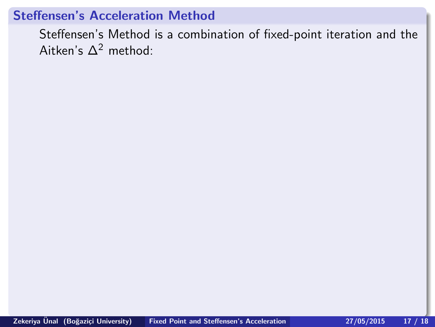<span id="page-41-0"></span>Steffensen's Method is a combination of fixed-point iteration and the Aitken's  $\Delta^2$  method: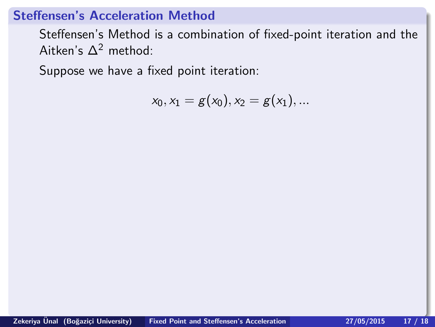Steffensen's Method is a combination of fixed-point iteration and the Aitken's  $\Delta^2$  method:

Suppose we have a fixed point iteration:

$$
x_0, x_1 = g(x_0), x_2 = g(x_1), \dots
$$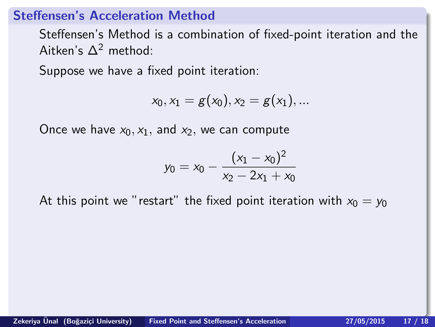Steffensen's Method is a combination of fixed-point iteration and the Aitken's  $\Delta^2$  method:

Suppose we have a fixed point iteration:

$$
x_0, x_1 = g(x_0), x_2 = g(x_1), ...
$$

Once we have  $x_0, x_1$ , and  $x_2$ , we can compute

$$
y_0 = x_0 - \frac{(x_1 - x_0)^2}{x_2 - 2x_1 + x_0}
$$

At this point we "restart" the fixed point iteration with  $x_0 = y_0$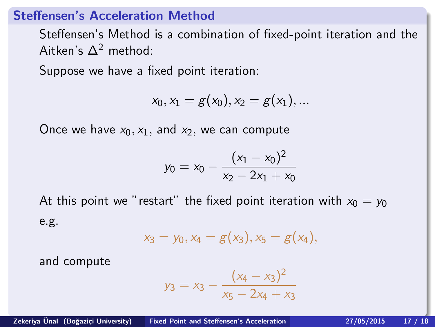Steffensen's Method is a combination of fixed-point iteration and the Aitken's  $\Delta^2$  method:

Suppose we have a fixed point iteration:

$$
x_0, x_1 = g(x_0), x_2 = g(x_1), ...
$$

Once we have  $x_0, x_1$ , and  $x_2$ , we can compute

$$
y_0 = x_0 - \frac{(x_1 - x_0)^2}{x_2 - 2x_1 + x_0}
$$

At this point we "restart" the fixed point iteration with  $x_0 = y_0$ e.g.

$$
x_3 = y_0, x_4 = g(x_3), x_5 = g(x_4),
$$

and compute

$$
y_3 = x_3 - \frac{(x_4 - x_3)^2}{x_5 - 2x_4 + x_3}
$$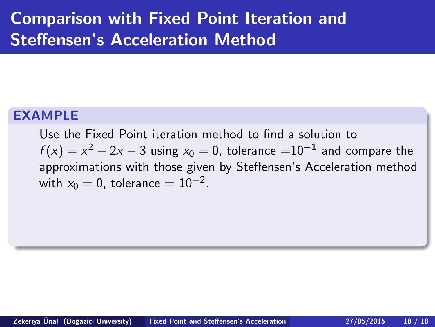## <span id="page-45-0"></span>Comparison with Fixed Point Iteration and Steffensen's Acceleration Method

#### EXAMPLE

Use the Fixed Point iteration method to find a solution to  $f(x)=\mathrm{\mathsf{x}}^2-2\mathrm{\mathsf{x}}-3$  using  $\mathrm{\mathsf{x}}_0=0$ , tolerance  $=$   $10^{-1}$  and compare the approximations with those given by Steffensen's Acceleration method with  $x_0 = 0$ , tolerance  $= 10^{-2}$ .